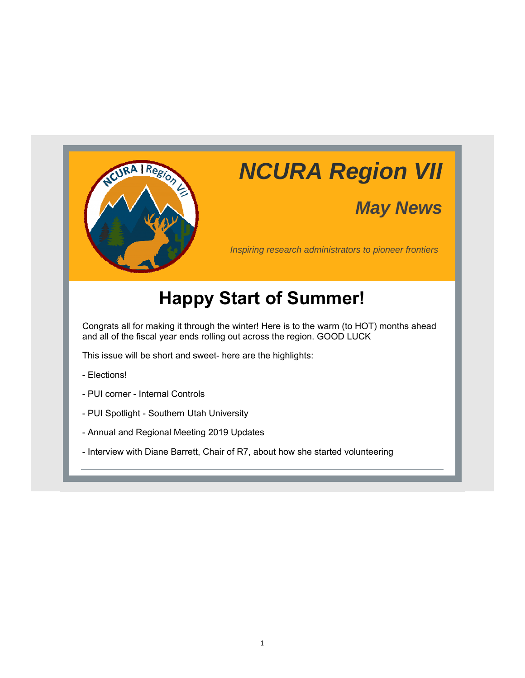

# *NCURA Region VII*

## *May News*

*Inspiring research administrators to pioneer frontiers*

## **Happy Start of Summer!**

Congrats all for making it through the winter! Here is to the warm (to HOT) months ahead and all of the fiscal year ends rolling out across the region. GOOD LUCK

This issue will be short and sweet- here are the highlights:

- Elections!
- PUI corner Internal Controls
- PUI Spotlight Southern Utah University
- Annual and Regional Meeting 2019 Updates
- Interview with Diane Barrett, Chair of R7, about how she started volunteering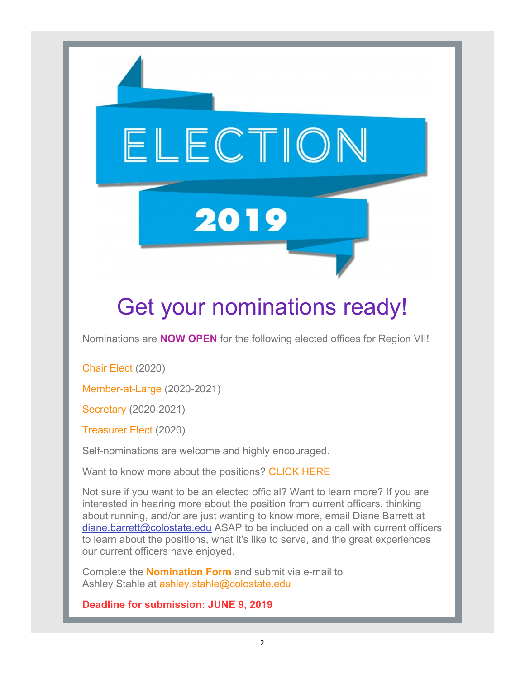## Get your nominations ready!

Nominations are **NOW OPEN** for the following elected offices for Region VII!

ELECTION

2019

Chair Elect (2020)

Member-at-Large (2020-2021)

Secretary (2020-2021)

Treasurer Elect (2020)

Self-nominations are welcome and highly encouraged.

Want to know more about the positions? CLICK HERE

Not sure if you want to be an elected official? Want to learn more? If you are interested in hearing more about the position from current officers, thinking about running, and/or are just wanting to know more, email Diane Barrett at diane.barrett@colostate.edu ASAP to be included on a call with current officers to learn about the positions, what it's like to serve, and the great experiences our current officers have enjoyed.

Complete the **Nomination Form** and submit via e-mail to Ashley Stahle at ashley.stahle@colostate.edu

**Deadline for submission: JUNE 9, 2019**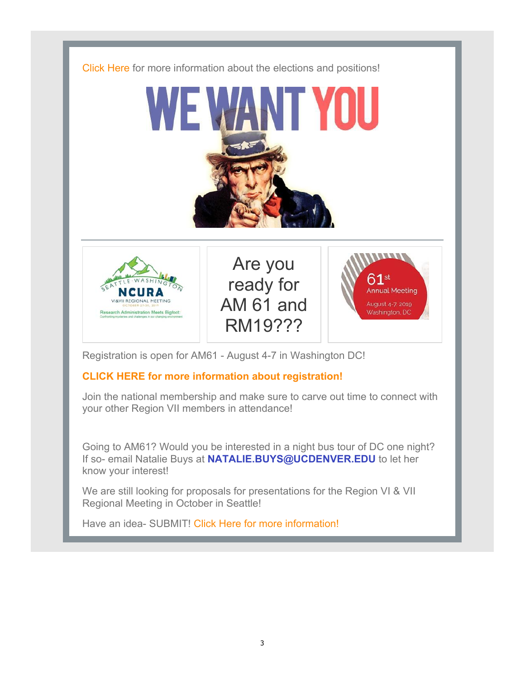

Registration is open for AM61 - August 4-7 in Washington DC!

#### **CLICK HERE for more information about registration!**

Join the national membership and make sure to carve out time to connect with your other Region VII members in attendance!

RM19???

Going to AM61? Would you be interested in a night bus tour of DC one night? If so- email Natalie Buys at **NATALIE.BUYS@UCDENVER.EDU** to let her know your interest!

We are still looking for proposals for presentations for the Region VI & VII Regional Meeting in October in Seattle!

Have an idea- SUBMIT! Click Here for more information!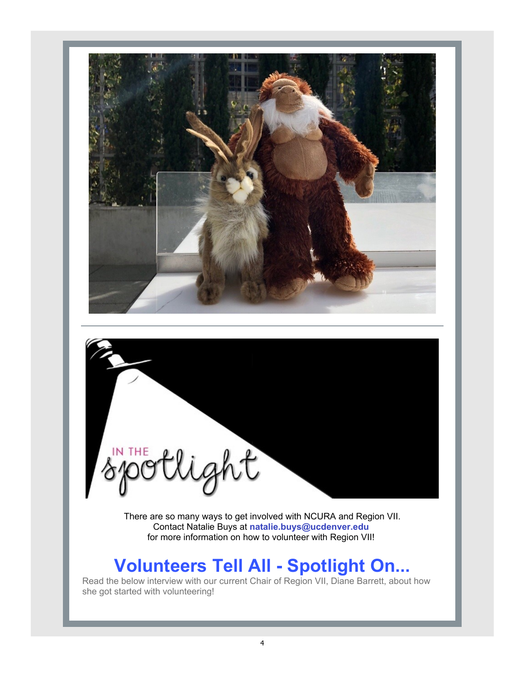

There are so many ways to get involved with NCURA and Region VII. Contact Natalie Buys at **natalie.buys@ucdenver.edu** for more information on how to volunteer with Region VII!

## **Volunteers Tell All - Spotlight On...**

Read the below interview with our current Chair of Region VII, Diane Barrett, about how she got started with volunteering!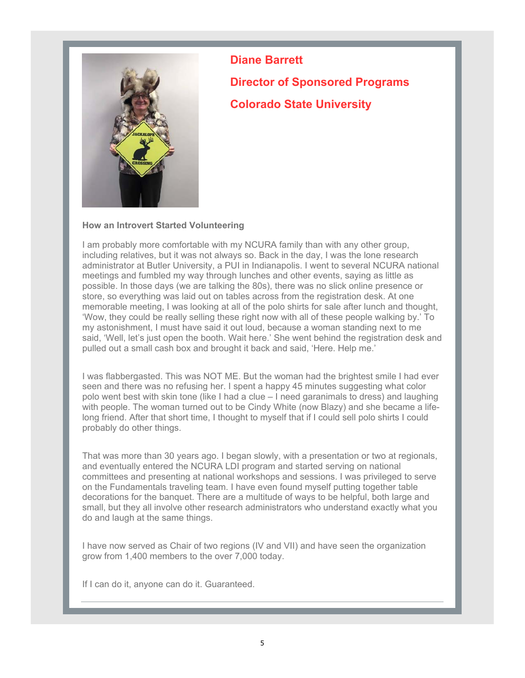

## **Diane Barrett Director of Sponsored Programs Colorado State University**

#### **How an Introvert Started Volunteering**

I am probably more comfortable with my NCURA family than with any other group, including relatives, but it was not always so. Back in the day, I was the lone research administrator at Butler University, a PUI in Indianapolis. I went to several NCURA national meetings and fumbled my way through lunches and other events, saying as little as possible. In those days (we are talking the 80s), there was no slick online presence or store, so everything was laid out on tables across from the registration desk. At one memorable meeting, I was looking at all of the polo shirts for sale after lunch and thought, 'Wow, they could be really selling these right now with all of these people walking by.' To my astonishment, I must have said it out loud, because a woman standing next to me said, 'Well, let's just open the booth. Wait here.' She went behind the registration desk and pulled out a small cash box and brought it back and said, 'Here. Help me.'

I was flabbergasted. This was NOT ME. But the woman had the brightest smile I had ever seen and there was no refusing her. I spent a happy 45 minutes suggesting what color polo went best with skin tone (like I had a clue – I need garanimals to dress) and laughing with people. The woman turned out to be Cindy White (now Blazy) and she became a lifelong friend. After that short time, I thought to myself that if I could sell polo shirts I could probably do other things.

That was more than 30 years ago. I began slowly, with a presentation or two at regionals, and eventually entered the NCURA LDI program and started serving on national committees and presenting at national workshops and sessions. I was privileged to serve on the Fundamentals traveling team. I have even found myself putting together table decorations for the banquet. There are a multitude of ways to be helpful, both large and small, but they all involve other research administrators who understand exactly what you do and laugh at the same things.

I have now served as Chair of two regions (IV and VII) and have seen the organization grow from 1,400 members to the over 7,000 today.

If I can do it, anyone can do it. Guaranteed.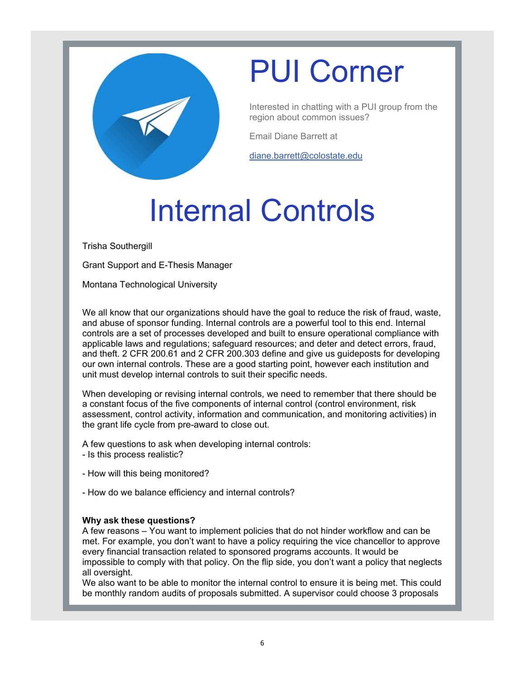

# PUI Corner

Interested in chatting with a PUI group from the region about common issues?

Email Diane Barrett at

diane.barrett@colostate.edu

# Internal Controls

Trisha Southergill

Grant Support and E-Thesis Manager

Montana Technological University

We all know that our organizations should have the goal to reduce the risk of fraud, waste, and abuse of sponsor funding. Internal controls are a powerful tool to this end. Internal controls are a set of processes developed and built to ensure operational compliance with applicable laws and regulations; safeguard resources; and deter and detect errors, fraud, and theft. 2 CFR 200.61 and 2 CFR 200.303 define and give us guideposts for developing our own internal controls. These are a good starting point, however each institution and unit must develop internal controls to suit their specific needs.

When developing or revising internal controls, we need to remember that there should be a constant focus of the five components of internal control (control environment, risk assessment, control activity, information and communication, and monitoring activities) in the grant life cycle from pre-award to close out.

A few questions to ask when developing internal controls:

- Is this process realistic?
- How will this being monitored?
- How do we balance efficiency and internal controls?

#### **Why ask these questions?**

A few reasons – You want to implement policies that do not hinder workflow and can be met. For example, you don't want to have a policy requiring the vice chancellor to approve every financial transaction related to sponsored programs accounts. It would be impossible to comply with that policy. On the flip side, you don't want a policy that neglects all oversight.

We also want to be able to monitor the internal control to ensure it is being met. This could be monthly random audits of proposals submitted. A supervisor could choose 3 proposals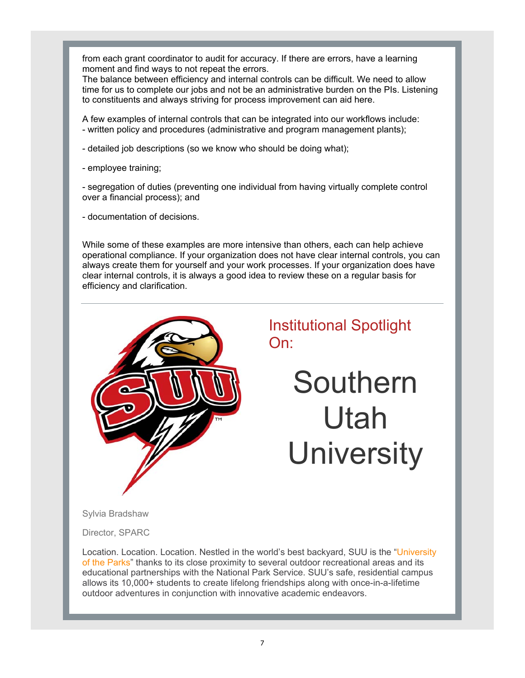from each grant coordinator to audit for accuracy. If there are errors, have a learning moment and find ways to not repeat the errors.

The balance between efficiency and internal controls can be difficult. We need to allow time for us to complete our jobs and not be an administrative burden on the PIs. Listening to constituents and always striving for process improvement can aid here.

A few examples of internal controls that can be integrated into our workflows include: - written policy and procedures (administrative and program management plants);

- detailed job descriptions (so we know who should be doing what);
- employee training;

- segregation of duties (preventing one individual from having virtually complete control over a financial process); and

- documentation of decisions.

While some of these examples are more intensive than others, each can help achieve operational compliance. If your organization does not have clear internal controls, you can always create them for yourself and your work processes. If your organization does have clear internal controls, it is always a good idea to review these on a regular basis for efficiency and clarification.



### Institutional Spotlight On:

Southern Utah **University** 

Sylvia Bradshaw

Director, SPARC

Location. Location. Location. Nestled in the world's best backyard, SUU is the "University of the Parks" thanks to its close proximity to several outdoor recreational areas and its educational partnerships with the National Park Service. SUU's safe, residential campus allows its 10,000+ students to create lifelong friendships along with once-in-a-lifetime outdoor adventures in conjunction with innovative academic endeavors.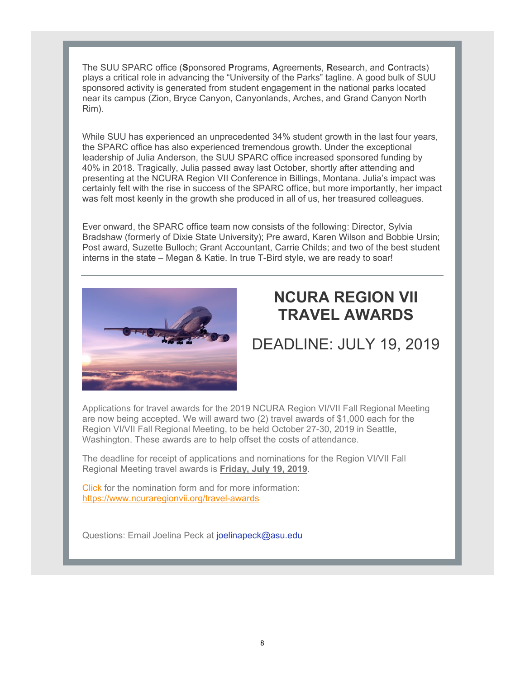The SUU SPARC office (**S**ponsored **P**rograms, **A**greements, **R**esearch, and **C**ontracts) plays a critical role in advancing the "University of the Parks" tagline. A good bulk of SUU sponsored activity is generated from student engagement in the national parks located near its campus (Zion, Bryce Canyon, Canyonlands, Arches, and Grand Canyon North Rim).

While SUU has experienced an unprecedented 34% student growth in the last four years, the SPARC office has also experienced tremendous growth. Under the exceptional leadership of Julia Anderson, the SUU SPARC office increased sponsored funding by 40% in 2018. Tragically, Julia passed away last October, shortly after attending and presenting at the NCURA Region VII Conference in Billings, Montana. Julia's impact was certainly felt with the rise in success of the SPARC office, but more importantly, her impact was felt most keenly in the growth she produced in all of us, her treasured colleagues.

Ever onward, the SPARC office team now consists of the following: Director, Sylvia Bradshaw (formerly of Dixie State University); Pre award, Karen Wilson and Bobbie Ursin; Post award, Suzette Bulloch; Grant Accountant, Carrie Childs; and two of the best student interns in the state – Megan & Katie. In true T-Bird style, we are ready to soar!



### **NCURA REGION VII TRAVEL AWARDS**

### DEADLINE: JULY 19, 2019

Applications for travel awards for the 2019 NCURA Region VI/VII Fall Regional Meeting are now being accepted. We will award two (2) travel awards of \$1,000 each for the Region VI/VII Fall Regional Meeting, to be held October 27-30, 2019 in Seattle, Washington. These awards are to help offset the costs of attendance.

The deadline for receipt of applications and nominations for the Region VI/VII Fall Regional Meeting travel awards is **Friday, July 19, 2019**.

Click for the nomination form and for more information: https://www.ncuraregionvii.org/travel-awards

Questions: Email Joelina Peck at joelinapeck@asu.edu